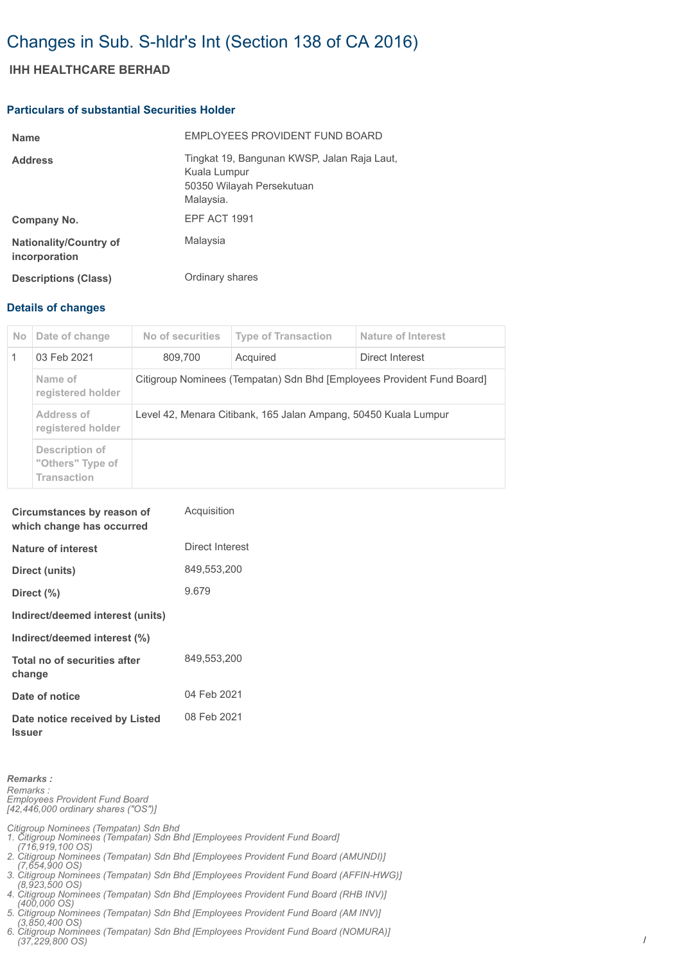# Changes in Sub. S-hldr's Int (Section 138 of CA 2016)

## **IHH HEALTHCARE BERHAD**

#### **Particulars of substantial Securities Holder**

| <b>Name</b>                                    | EMPLOYEES PROVIDENT FUND BOARD                                                                        |
|------------------------------------------------|-------------------------------------------------------------------------------------------------------|
| <b>Address</b>                                 | Tingkat 19, Bangunan KWSP, Jalan Raja Laut,<br>Kuala Lumpur<br>50350 Wilayah Persekutuan<br>Malaysia. |
| Company No.                                    | <b>EPF ACT 1991</b>                                                                                   |
| <b>Nationality/Country of</b><br>incorporation | Malaysia                                                                                              |
| <b>Descriptions (Class)</b>                    | Ordinary shares                                                                                       |

### **Details of changes**

| No.          | Date of change                                           | No of securities                                                       | <b>Type of Transaction</b> | Nature of Interest |  |
|--------------|----------------------------------------------------------|------------------------------------------------------------------------|----------------------------|--------------------|--|
| $\mathbf{1}$ | 03 Feb 2021                                              | 809.700                                                                | Acquired                   | Direct Interest    |  |
|              | Name of<br>registered holder                             | Citigroup Nominees (Tempatan) Sdn Bhd [Employees Provident Fund Board] |                            |                    |  |
|              | Address of<br>registered holder                          | Level 42, Menara Citibank, 165 Jalan Ampang, 50450 Kuala Lumpur        |                            |                    |  |
|              | Description of<br>"Others" Type of<br><b>Transaction</b> |                                                                        |                            |                    |  |

| Circumstances by reason of<br>which change has occurred | Acquisition     |
|---------------------------------------------------------|-----------------|
| Nature of interest                                      | Direct Interest |
| Direct (units)                                          | 849,553,200     |
| Direct (%)                                              | 9.679           |
| Indirect/deemed interest (units)                        |                 |
| Indirect/deemed interest (%)                            |                 |
| Total no of securities after<br>change                  | 849.553.200     |
| Date of notice                                          | 04 Feb 2021     |
| Date notice received by Listed<br><b>Issuer</b>         | 08 Feb 2021     |

*Remarks : Remarks : Employees Provident Fund Board [42,446,000 ordinary shares ("OS")]*

*Citigroup Nominees (Tempatan) Sdn Bhd 1. Citigroup Nominees (Tempatan) Sdn Bhd [Employees Provident Fund Board] (716,919,100 OS) 2. Citigroup Nominees (Tempatan) Sdn Bhd [Employees Provident Fund Board (AMUNDI)]* 

- *(7,654,900 OS) 3. Citigroup Nominees (Tempatan) Sdn Bhd [Employees Provident Fund Board (AFFIN-HWG)]*
- *(8,923,500 OS) 4. Citigroup Nominees (Tempatan) Sdn Bhd [Employees Provident Fund Board (RHB INV)]*
- *(400,000 OS) 5. Citigroup Nominees (Tempatan) Sdn Bhd [Employees Provident Fund Board (AM INV)]*

 *(3,850,400 OS) 6. Citigroup Nominees (Tempatan) Sdn Bhd [Employees Provident Fund Board (NOMURA)] (37,229,800 OS)*